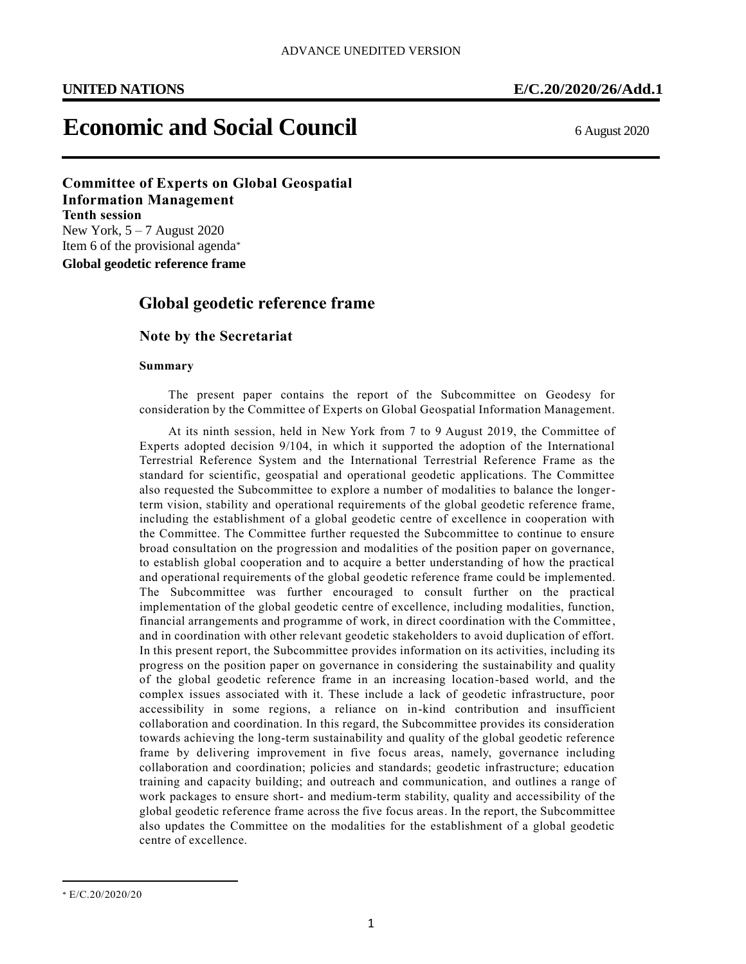# **Economic and Social Council** 6 August 2020

**Committee of Experts on Global Geospatial Information Management Tenth session** New York,  $5 - 7$  August 2020 Item 6 of the provisional agenda\*

**Global geodetic reference frame**

## **Global geodetic reference frame**

#### **Note by the Secretariat**

#### **Summary**

The present paper contains the report of the Subcommittee on Geodesy for consideration by the Committee of Experts on Global Geospatial Information Management.

At its ninth session, held in New York from 7 to 9 August 2019, the Committee of Experts adopted decision 9/104, in which it supported the adoption of the International Terrestrial Reference System and the International Terrestrial Reference Frame as the standard for scientific, geospatial and operational geodetic applications. The Committee also requested the Subcommittee to explore a number of modalities to balance the longerterm vision, stability and operational requirements of the global geodetic reference frame, including the establishment of a global geodetic centre of excellence in cooperation with the Committee. The Committee further requested the Subcommittee to continue to ensure broad consultation on the progression and modalities of the position paper on governance, to establish global cooperation and to acquire a better understanding of how the practical and operational requirements of the global geodetic reference frame could be implemented. The Subcommittee was further encouraged to consult further on the practical implementation of the global geodetic centre of excellence, including modalities, function, financial arrangements and programme of work, in direct coordination with the Committee , and in coordination with other relevant geodetic stakeholders to avoid duplication of effort. In this present report, the Subcommittee provides information on its activities, including its progress on the position paper on governance in considering the sustainability and quality of the global geodetic reference frame in an increasing location-based world, and the complex issues associated with it. These include a lack of geodetic infrastructure, poor accessibility in some regions, a reliance on in-kind contribution and insufficient collaboration and coordination. In this regard, the Subcommittee provides its consideration towards achieving the long-term sustainability and quality of the global geodetic reference frame by delivering improvement in five focus areas, namely, governance including collaboration and coordination; policies and standards; geodetic infrastructure; education training and capacity building; and outreach and communication, and outlines a range of work packages to ensure short- and medium-term stability, quality and accessibility of the global geodetic reference frame across the five focus areas. In the report, the Subcommittee also updates the Committee on the modalities for the establishment of a global geodetic centre of excellence.

<sup>\*</sup> E/C.20/2020/20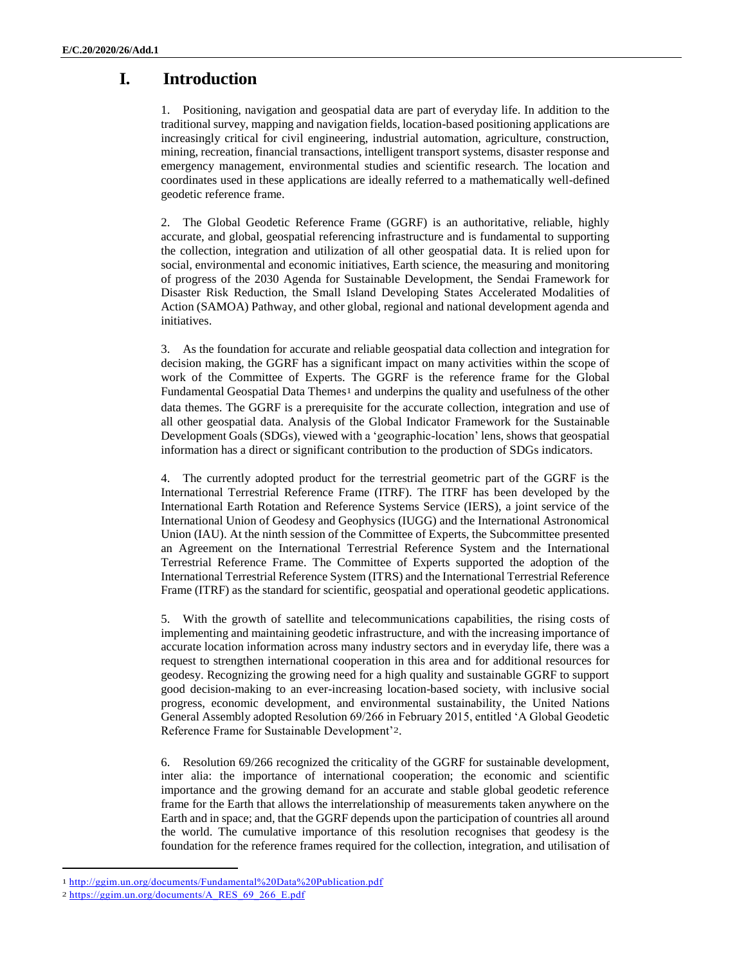# **I. Introduction**

1. Positioning, navigation and geospatial data are part of everyday life. In addition to the traditional survey, mapping and navigation fields, location-based positioning applications are increasingly critical for civil engineering, industrial automation, agriculture, construction, mining, recreation, financial transactions, intelligent transport systems, disaster response and emergency management, environmental studies and scientific research. The location and coordinates used in these applications are ideally referred to a mathematically well-defined geodetic reference frame.

2. The Global Geodetic Reference Frame (GGRF) is an authoritative, reliable, highly accurate, and global, geospatial referencing infrastructure and is fundamental to supporting the collection, integration and utilization of all other geospatial data. It is relied upon for social, environmental and economic initiatives, Earth science, the measuring and monitoring of progress of the 2030 Agenda for Sustainable Development, the Sendai Framework for Disaster Risk Reduction, the Small Island Developing States Accelerated Modalities of Action (SAMOA) Pathway, and other global, regional and national development agenda and initiatives.

3. As the foundation for accurate and reliable geospatial data collection and integration for decision making, the GGRF has a significant impact on many activities within the scope of work of the Committee of Experts. The GGRF is the reference frame for the Global Fundamental Geospatial Data Themes<sup>1</sup> and underpins the quality and usefulness of the other data themes. The GGRF is a prerequisite for the accurate collection, integration and use of all other geospatial data. Analysis of the Global Indicator Framework for the Sustainable Development Goals (SDGs), viewed with a 'geographic-location' lens, shows that geospatial information has a direct or significant contribution to the production of SDGs indicators.

4. The currently adopted product for the terrestrial geometric part of the GGRF is the International Terrestrial Reference Frame (ITRF). The ITRF has been developed by the International Earth Rotation and Reference Systems Service (IERS), a joint service of the International Union of Geodesy and Geophysics (IUGG) and the International Astronomical Union (IAU). At the ninth session of the Committee of Experts, the Subcommittee presented an Agreement on the International Terrestrial Reference System and the International Terrestrial Reference Frame. The Committee of Experts supported the adoption of the International Terrestrial Reference System (ITRS) and the International Terrestrial Reference Frame (ITRF) as the standard for scientific, geospatial and operational geodetic applications.

5. With the growth of satellite and telecommunications capabilities, the rising costs of implementing and maintaining geodetic infrastructure, and with the increasing importance of accurate location information across many industry sectors and in everyday life, there was a request to strengthen international cooperation in this area and for additional resources for geodesy. Recognizing the growing need for a high quality and sustainable GGRF to support good decision-making to an ever-increasing location-based society, with inclusive social progress, economic development, and environmental sustainability, the United Nations General Assembly adopted Resolution 69/266 in February 2015, entitled 'A Global Geodetic Reference Frame for Sustainable Development'2.

6. Resolution 69/266 recognized the criticality of the GGRF for sustainable development, inter alia: the importance of international cooperation; the economic and scientific importance and the growing demand for an accurate and stable global geodetic reference frame for the Earth that allows the interrelationship of measurements taken anywhere on the Earth and in space; and, that the GGRF depends upon the participation of countries all around the world. The cumulative importance of this resolution recognises that geodesy is the foundation for the reference frames required for the collection, integration, and utilisation of

<sup>1</sup> <http://ggim.un.org/documents/Fundamental%20Data%20Publication.pdf>

<sup>2</sup> [https://ggim.un.org/documents/A\\_RES\\_69\\_266\\_E.pdf](https://ggim.un.org/documents/A_RES_69_266_E.pdf)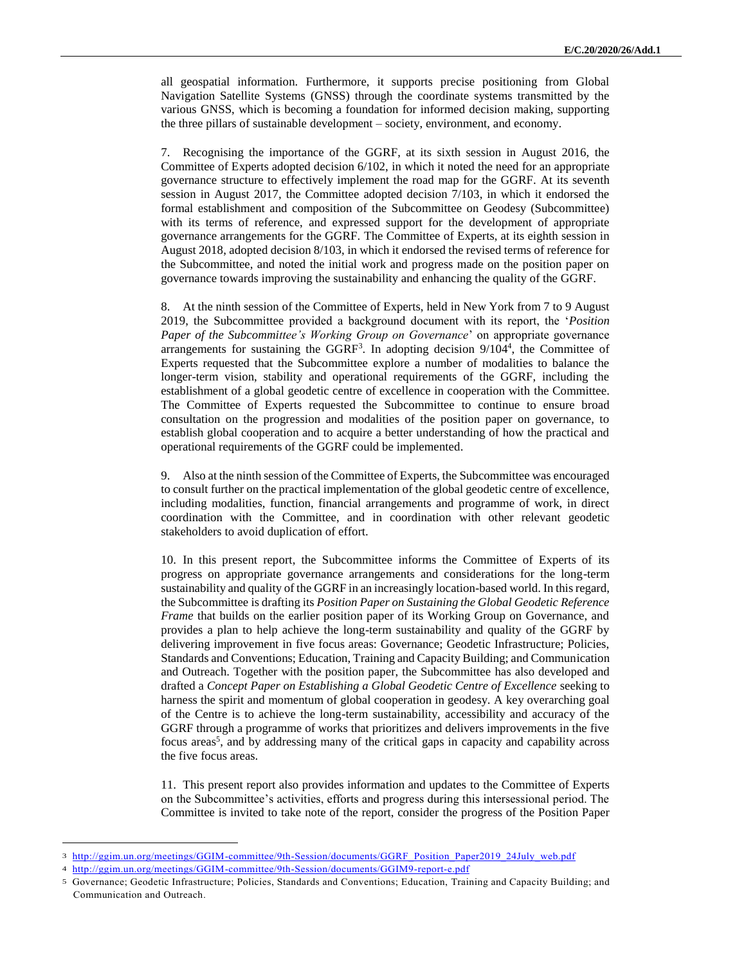all geospatial information. Furthermore, it supports precise positioning from Global Navigation Satellite Systems (GNSS) through the coordinate systems transmitted by the various GNSS, which is becoming a foundation for informed decision making, supporting the three pillars of sustainable development – society, environment, and economy.

7. Recognising the importance of the GGRF, at its sixth session in August 2016, the Committee of Experts adopted decision 6/102, in which it noted the need for an appropriate governance structure to effectively implement the road map for the GGRF. At its seventh session in August 2017, the Committee adopted decision 7/103, in which it endorsed the formal establishment and composition of the Subcommittee on Geodesy (Subcommittee) with its terms of reference, and expressed support for the development of appropriate governance arrangements for the GGRF. The Committee of Experts, at its eighth session in August 2018, adopted decision 8/103, in which it endorsed the revised terms of reference for the Subcommittee, and noted the initial work and progress made on the position paper on governance towards improving the sustainability and enhancing the quality of the GGRF.

8. At the ninth session of the Committee of Experts, held in New York from 7 to 9 August 2019, the Subcommittee provided a background document with its report, the '*Position Paper of the Subcommittee's Working Group on Governance*' on appropriate governance arrangements for sustaining the  $GGRF<sup>3</sup>$ . In adopting decision  $9/104<sup>4</sup>$ , the Committee of Experts requested that the Subcommittee explore a number of modalities to balance the longer-term vision, stability and operational requirements of the GGRF, including the establishment of a global geodetic centre of excellence in cooperation with the Committee. The Committee of Experts requested the Subcommittee to continue to ensure broad consultation on the progression and modalities of the position paper on governance, to establish global cooperation and to acquire a better understanding of how the practical and operational requirements of the GGRF could be implemented.

9. Also at the ninth session of the Committee of Experts, the Subcommittee was encouraged to consult further on the practical implementation of the global geodetic centre of excellence, including modalities, function, financial arrangements and programme of work, in direct coordination with the Committee, and in coordination with other relevant geodetic stakeholders to avoid duplication of effort.

10. In this present report, the Subcommittee informs the Committee of Experts of its progress on appropriate governance arrangements and considerations for the long-term sustainability and quality of the GGRF in an increasingly location-based world. In this regard, the Subcommittee is drafting its *Position Paper on Sustaining the Global Geodetic Reference Frame* that builds on the earlier position paper of its Working Group on Governance, and provides a plan to help achieve the long-term sustainability and quality of the GGRF by delivering improvement in five focus areas: Governance; Geodetic Infrastructure; Policies, Standards and Conventions; Education, Training and Capacity Building; and Communication and Outreach. Together with the position paper, the Subcommittee has also developed and drafted a *Concept Paper on Establishing a Global Geodetic Centre of Excellence* seeking to harness the spirit and momentum of global cooperation in geodesy. A key overarching goal of the Centre is to achieve the long-term sustainability, accessibility and accuracy of the GGRF through a programme of works that prioritizes and delivers improvements in the five focus areas<sup>5</sup>, and by addressing many of the critical gaps in capacity and capability across the five focus areas.

11. This present report also provides information and updates to the Committee of Experts on the Subcommittee's activities, efforts and progress during this intersessional period. The Committee is invited to take note of the report, consider the progress of the Position Paper

<sup>3</sup> [http://ggim.un.org/meetings/GGIM-committee/9th-Session/documents/GGRF\\_Position\\_Paper2019\\_24July\\_web.pdf](http://ggim.un.org/meetings/GGIM-committee/9th-Session/documents/GGRF_Position_Paper2019_24July_web.pdf)

<sup>4</sup> <http://ggim.un.org/meetings/GGIM-committee/9th-Session/documents/GGIM9-report-e.pdf>

<sup>5</sup> Governance; Geodetic Infrastructure; Policies, Standards and Conventions; Education, Training and Capacity Building; and Communication and Outreach.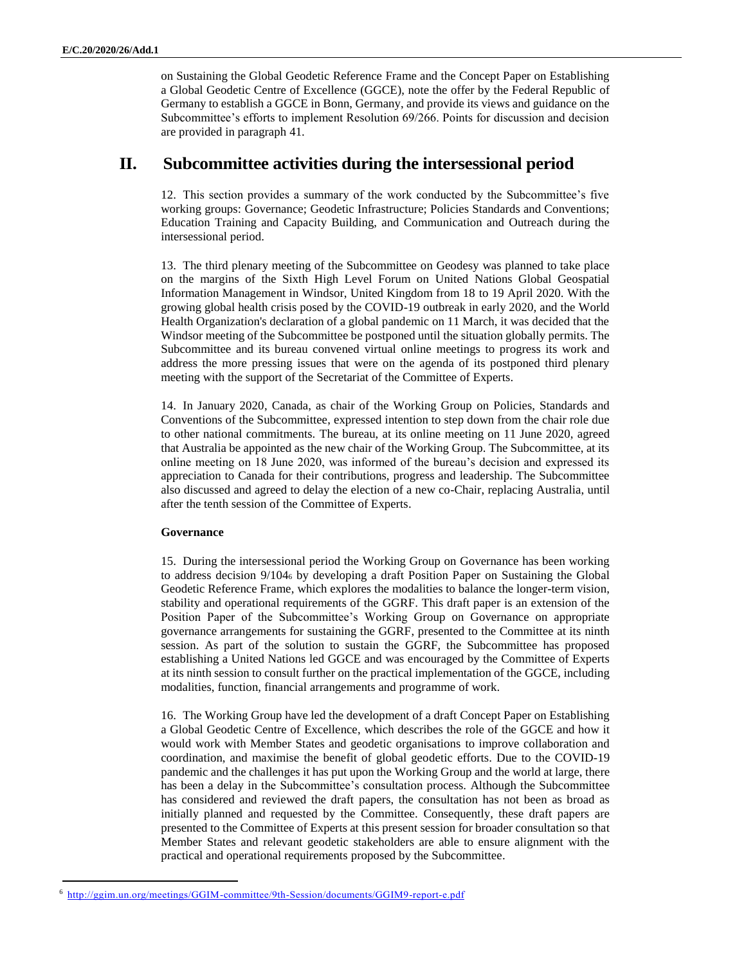on Sustaining the Global Geodetic Reference Frame and the Concept Paper on Establishing a Global Geodetic Centre of Excellence (GGCE), note the offer by the Federal Republic of Germany to establish a GGCE in Bonn, Germany, and provide its views and guidance on the Subcommittee's efforts to implement Resolution 69/266. Points for discussion and decision are provided in paragraph 41.

### **II. Subcommittee activities during the intersessional period**

12. This section provides a summary of the work conducted by the Subcommittee's five working groups: Governance; Geodetic Infrastructure; Policies Standards and Conventions; Education Training and Capacity Building, and Communication and Outreach during the intersessional period.

13. The third plenary meeting of the Subcommittee on Geodesy was planned to take place on the margins of the Sixth High Level Forum on United Nations Global Geospatial Information Management in Windsor, United Kingdom from 18 to 19 April 2020. With the growing global health crisis posed by the COVID-19 outbreak in early 2020, and the World Health Organization's declaration of a global pandemic on 11 March, it was decided that the Windsor meeting of the Subcommittee be postponed until the situation globally permits. The Subcommittee and its bureau convened virtual online meetings to progress its work and address the more pressing issues that were on the agenda of its postponed third plenary meeting with the support of the Secretariat of the Committee of Experts.

14. In January 2020, Canada, as chair of the Working Group on Policies, Standards and Conventions of the Subcommittee, expressed intention to step down from the chair role due to other national commitments. The bureau, at its online meeting on 11 June 2020, agreed that Australia be appointed as the new chair of the Working Group. The Subcommittee, at its online meeting on 18 June 2020, was informed of the bureau's decision and expressed its appreciation to Canada for their contributions, progress and leadership. The Subcommittee also discussed and agreed to delay the election of a new co-Chair, replacing Australia, until after the tenth session of the Committee of Experts.

#### **Governance**

 $\overline{a}$ 

15. During the intersessional period the Working Group on Governance has been working to address decision 9/104<sup>6</sup> by developing a draft Position Paper on Sustaining the Global Geodetic Reference Frame, which explores the modalities to balance the longer-term vision, stability and operational requirements of the GGRF. This draft paper is an extension of the Position Paper of the Subcommittee's Working Group on Governance on appropriate governance arrangements for sustaining the GGRF, presented to the Committee at its ninth session. As part of the solution to sustain the GGRF, the Subcommittee has proposed establishing a United Nations led GGCE and was encouraged by the Committee of Experts at its ninth session to consult further on the practical implementation of the GGCE, including modalities, function, financial arrangements and programme of work.

16. The Working Group have led the development of a draft Concept Paper on Establishing a Global Geodetic Centre of Excellence, which describes the role of the GGCE and how it would work with Member States and geodetic organisations to improve collaboration and coordination, and maximise the benefit of global geodetic efforts. Due to the COVID-19 pandemic and the challenges it has put upon the Working Group and the world at large, there has been a delay in the Subcommittee's consultation process. Although the Subcommittee has considered and reviewed the draft papers, the consultation has not been as broad as initially planned and requested by the Committee. Consequently, these draft papers are presented to the Committee of Experts at this present session for broader consultation so that Member States and relevant geodetic stakeholders are able to ensure alignment with the practical and operational requirements proposed by the Subcommittee.

<sup>6</sup> <http://ggim.un.org/meetings/GGIM-committee/9th-Session/documents/GGIM9-report-e.pdf>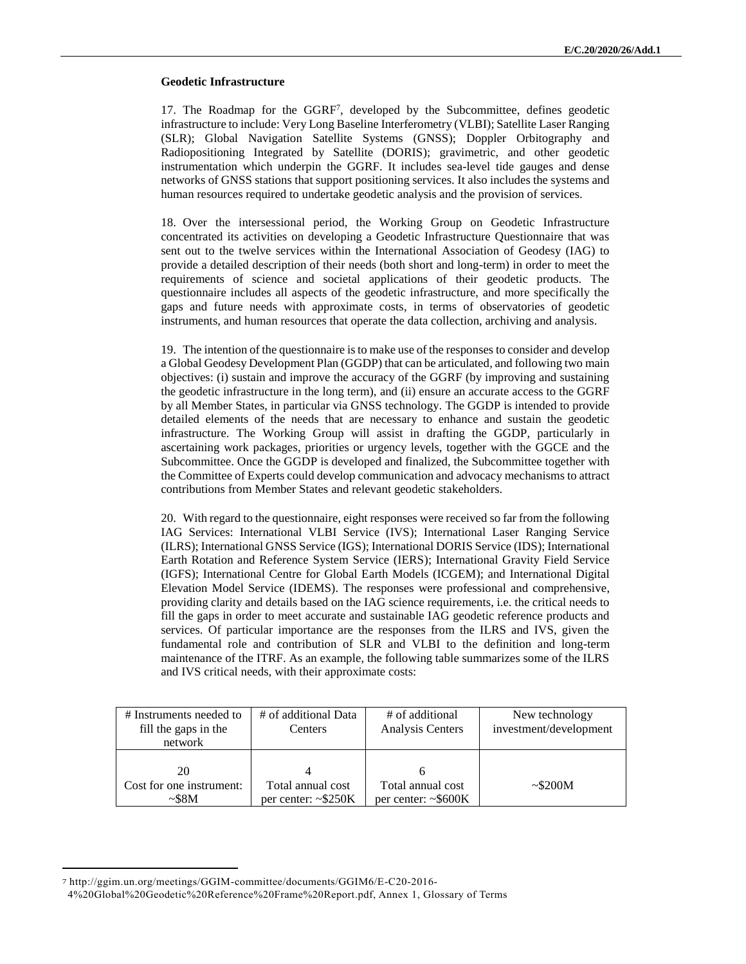#### **Geodetic Infrastructure**

17. The Roadmap for the GGRF<sup>7</sup>, developed by the Subcommittee, defines geodetic infrastructure to include: Very Long Baseline Interferometry (VLBI); Satellite Laser Ranging (SLR); Global Navigation Satellite Systems (GNSS); Doppler Orbitography and Radiopositioning Integrated by Satellite (DORIS); gravimetric, and other geodetic instrumentation which underpin the GGRF. It includes sea-level tide gauges and dense networks of GNSS stations that support positioning services. It also includes the systems and human resources required to undertake geodetic analysis and the provision of services.

18. Over the intersessional period, the Working Group on Geodetic Infrastructure concentrated its activities on developing a Geodetic Infrastructure Questionnaire that was sent out to the twelve services within the International Association of Geodesy (IAG) to provide a detailed description of their needs (both short and long-term) in order to meet the requirements of science and societal applications of their geodetic products. The questionnaire includes all aspects of the geodetic infrastructure, and more specifically the gaps and future needs with approximate costs, in terms of observatories of geodetic instruments, and human resources that operate the data collection, archiving and analysis.

19. The intention of the questionnaire is to make use of the responses to consider and develop a Global Geodesy Development Plan (GGDP) that can be articulated, and following two main objectives: (i) sustain and improve the accuracy of the GGRF (by improving and sustaining the geodetic infrastructure in the long term), and (ii) ensure an accurate access to the GGRF by all Member States, in particular via GNSS technology. The GGDP is intended to provide detailed elements of the needs that are necessary to enhance and sustain the geodetic infrastructure. The Working Group will assist in drafting the GGDP, particularly in ascertaining work packages, priorities or urgency levels, together with the GGCE and the Subcommittee. Once the GGDP is developed and finalized, the Subcommittee together with the Committee of Experts could develop communication and advocacy mechanisms to attract contributions from Member States and relevant geodetic stakeholders.

20. With regard to the questionnaire, eight responses were received so far from the following IAG Services: International VLBI Service (IVS); International Laser Ranging Service (ILRS); International GNSS Service (IGS); International DORIS Service (IDS); International Earth Rotation and Reference System Service (IERS); International Gravity Field Service (IGFS); International Centre for Global Earth Models (ICGEM); and International Digital Elevation Model Service (IDEMS). The responses were professional and comprehensive, providing clarity and details based on the IAG science requirements, i.e. the critical needs to fill the gaps in order to meet accurate and sustainable IAG geodetic reference products and services. Of particular importance are the responses from the ILRS and IVS, given the fundamental role and contribution of SLR and VLBI to the definition and long-term maintenance of the ITRF. As an example, the following table summarizes some of the ILRS and IVS critical needs, with their approximate costs:

| # Instruments needed to<br>fill the gaps in the<br>network | # of additional Data<br>Centers                | # of additional<br>Analysis Centers            | New technology<br>investment/development |
|------------------------------------------------------------|------------------------------------------------|------------------------------------------------|------------------------------------------|
| 20<br>Cost for one instrument:<br>$\sim$ \$8M              | Total annual cost<br>per center: $\sim$ \$250K | Total annual cost<br>per center: $\sim$ \$600K | $\sim$ \$200M                            |

<sup>7</sup> http://ggim.un.org/meetings/GGIM-committee/documents/GGIM6/E-C20-2016-

<sup>4%20</sup>Global%20Geodetic%20Reference%20Frame%20Report.pdf, Annex 1, Glossary of Terms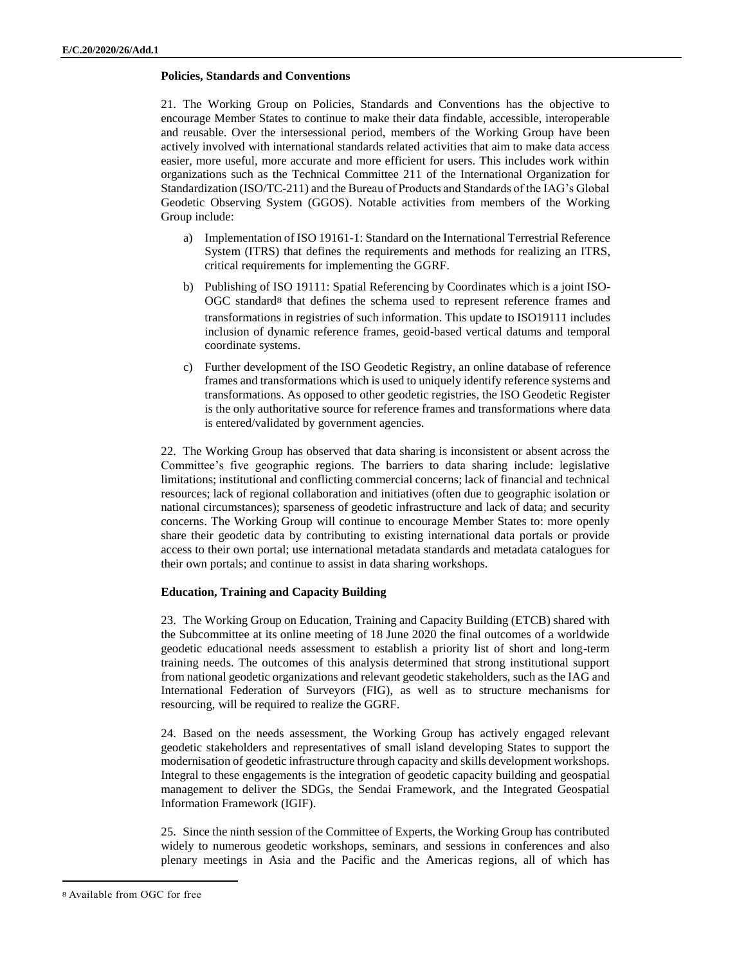#### **Policies, Standards and Conventions**

21. The Working Group on Policies, Standards and Conventions has the objective to encourage Member States to continue to make their data findable, accessible, interoperable and reusable. Over the intersessional period, members of the Working Group have been actively involved with international standards related activities that aim to make data access easier, more useful, more accurate and more efficient for users. This includes work within organizations such as the Technical Committee 211 of the International Organization for Standardization (ISO/TC-211) and the Bureau of Products and Standards of the IAG's Global Geodetic Observing System (GGOS). Notable activities from members of the Working Group include:

- a) Implementation of ISO 19161-1: Standard on the International Terrestrial Reference System (ITRS) that defines the requirements and methods for realizing an ITRS, critical requirements for implementing the GGRF.
- b) Publishing of ISO 19111: Spatial Referencing by Coordinates which is a joint ISO-OGC standard8 that defines the schema used to represent reference frames and transformations in registries of such information. This update to ISO19111 includes inclusion of dynamic reference frames, geoid-based vertical datums and temporal coordinate systems.
- c) Further development of the ISO Geodetic Registry, an online database of reference frames and transformations which is used to uniquely identify reference systems and transformations. As opposed to other geodetic registries, the ISO Geodetic Register is the only authoritative source for reference frames and transformations where data is entered/validated by government agencies.

22. The Working Group has observed that data sharing is inconsistent or absent across the Committee's five geographic regions. The barriers to data sharing include: legislative limitations; institutional and conflicting commercial concerns; lack of financial and technical resources; lack of regional collaboration and initiatives (often due to geographic isolation or national circumstances); sparseness of geodetic infrastructure and lack of data; and security concerns. The Working Group will continue to encourage Member States to: more openly share their geodetic data by contributing to existing international data portals or provide access to their own portal; use international metadata standards and metadata catalogues for their own portals; and continue to assist in data sharing workshops.

#### **Education, Training and Capacity Building**

23. The Working Group on Education, Training and Capacity Building (ETCB) shared with the Subcommittee at its online meeting of 18 June 2020 the final outcomes of a worldwide geodetic educational needs assessment to establish a priority list of short and long-term training needs. The outcomes of this analysis determined that strong institutional support from national geodetic organizations and relevant geodetic stakeholders, such as the IAG and International Federation of Surveyors (FIG), as well as to structure mechanisms for resourcing, will be required to realize the GGRF.

24. Based on the needs assessment, the Working Group has actively engaged relevant geodetic stakeholders and representatives of small island developing States to support the modernisation of geodetic infrastructure through capacity and skills development workshops. Integral to these engagements is the integration of geodetic capacity building and geospatial management to deliver the SDGs, the Sendai Framework, and the Integrated Geospatial Information Framework (IGIF).

25. Since the ninth session of the Committee of Experts, the Working Group has contributed widely to numerous geodetic workshops, seminars, and sessions in conferences and also plenary meetings in Asia and the Pacific and the Americas regions, all of which has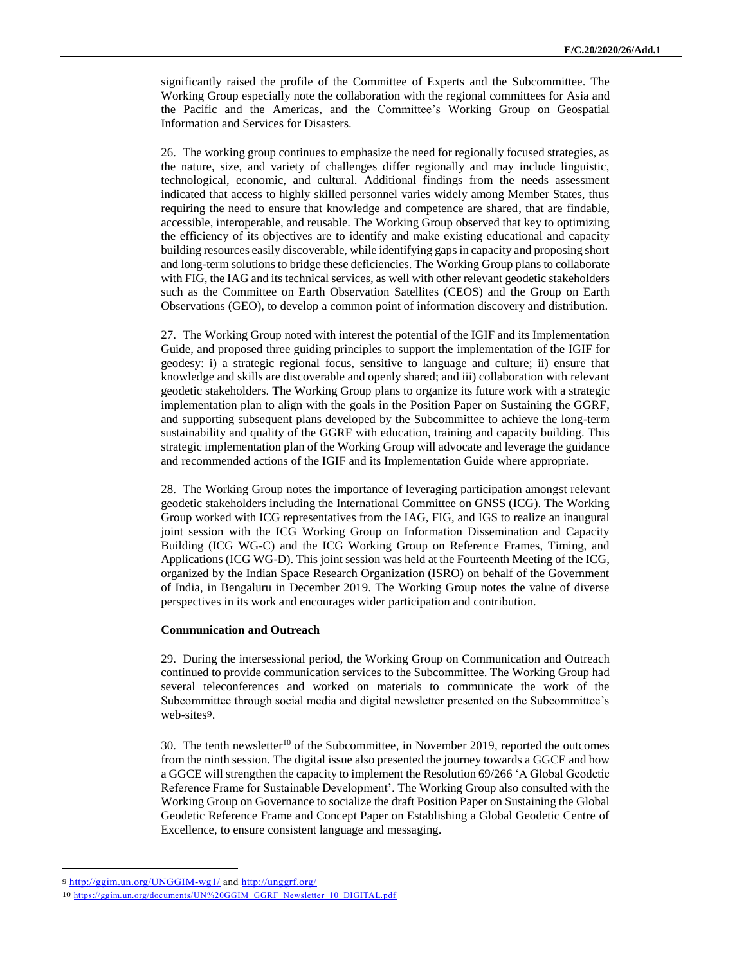significantly raised the profile of the Committee of Experts and the Subcommittee. The Working Group especially note the collaboration with the regional committees for Asia and the Pacific and the Americas, and the Committee's Working Group on Geospatial Information and Services for Disasters.

26. The working group continues to emphasize the need for regionally focused strategies, as the nature, size, and variety of challenges differ regionally and may include linguistic, technological, economic, and cultural. Additional findings from the needs assessment indicated that access to highly skilled personnel varies widely among Member States, thus requiring the need to ensure that knowledge and competence are shared, that are findable, accessible, interoperable, and reusable. The Working Group observed that key to optimizing the efficiency of its objectives are to identify and make existing educational and capacity building resources easily discoverable, while identifying gaps in capacity and proposing short and long-term solutions to bridge these deficiencies. The Working Group plans to collaborate with FIG, the IAG and its technical services, as well with other relevant geodetic stakeholders such as the Committee on Earth Observation Satellites (CEOS) and the Group on Earth Observations (GEO), to develop a common point of information discovery and distribution.

27. The Working Group noted with interest the potential of the IGIF and its Implementation Guide, and proposed three guiding principles to support the implementation of the IGIF for geodesy: i) a strategic regional focus, sensitive to language and culture; ii) ensure that knowledge and skills are discoverable and openly shared; and iii) collaboration with relevant geodetic stakeholders. The Working Group plans to organize its future work with a strategic implementation plan to align with the goals in the Position Paper on Sustaining the GGRF, and supporting subsequent plans developed by the Subcommittee to achieve the long-term sustainability and quality of the GGRF with education, training and capacity building. This strategic implementation plan of the Working Group will advocate and leverage the guidance and recommended actions of the IGIF and its Implementation Guide where appropriate.

28. The Working Group notes the importance of leveraging participation amongst relevant geodetic stakeholders including the International Committee on GNSS (ICG). The Working Group worked with ICG representatives from the IAG, FIG, and IGS to realize an inaugural joint session with the ICG Working Group on Information Dissemination and Capacity Building (ICG WG-C) and the ICG Working Group on Reference Frames, Timing, and Applications (ICG WG-D). This joint session was held at the Fourteenth Meeting of the ICG, organized by the Indian Space Research Organization (ISRO) on behalf of the Government of India, in Bengaluru in December 2019. The Working Group notes the value of diverse perspectives in its work and encourages wider participation and contribution.

#### **Communication and Outreach**

29. During the intersessional period, the Working Group on Communication and Outreach continued to provide communication services to the Subcommittee. The Working Group had several teleconferences and worked on materials to communicate the work of the Subcommittee through social media and digital newsletter presented on the Subcommittee's web-sites9.

30. The tenth newsletter<sup>10</sup> of the Subcommittee, in November 2019, reported the outcomes from the ninth session. The digital issue also presented the journey towards a GGCE and how a GGCE will strengthen the capacity to implement the Resolution 69/266 'A Global Geodetic Reference Frame for Sustainable Development'. The Working Group also consulted with the Working Group on Governance to socialize the draft Position Paper on Sustaining the Global Geodetic Reference Frame and Concept Paper on Establishing a Global Geodetic Centre of Excellence, to ensure consistent language and messaging.

<sup>9</sup> <http://ggim.un.org/UNGGIM-wg1/> and<http://unggrf.org/>

<sup>10</sup> [https://ggim.un.org/documents/UN%20GGIM\\_GGRF\\_Newsletter\\_10\\_DIGITAL.pdf](https://ggim.un.org/documents/UN%20GGIM_GGRF_Newsletter_10_DIGITAL.pdf)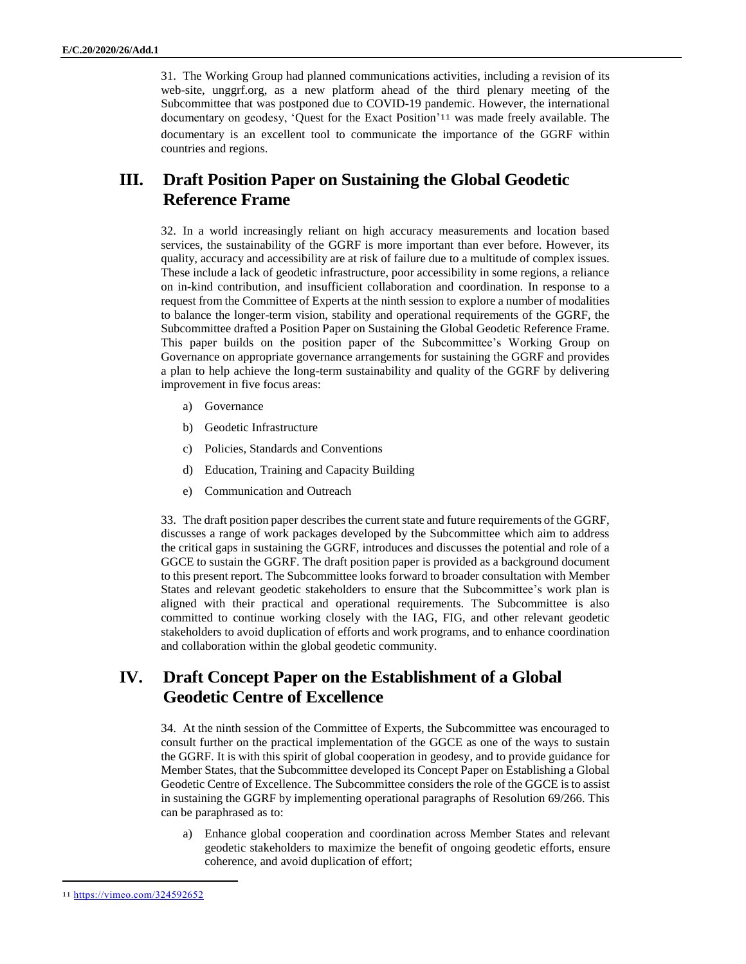31. The Working Group had planned communications activities, including a revision of its web-site, unggrf.org, as a new platform ahead of the third plenary meeting of the Subcommittee that was postponed due to COVID-19 pandemic. However, the international documentary on geodesy, 'Quest for the Exact Position'11 was made freely available. The documentary is an excellent tool to communicate the importance of the GGRF within countries and regions.

# **III. Draft Position Paper on Sustaining the Global Geodetic Reference Frame**

32. In a world increasingly reliant on high accuracy measurements and location based services, the sustainability of the GGRF is more important than ever before. However, its quality, accuracy and accessibility are at risk of failure due to a multitude of complex issues. These include a lack of geodetic infrastructure, poor accessibility in some regions, a reliance on in-kind contribution, and insufficient collaboration and coordination. In response to a request from the Committee of Experts at the ninth session to explore a number of modalities to balance the longer-term vision, stability and operational requirements of the GGRF, the Subcommittee drafted a Position Paper on Sustaining the Global Geodetic Reference Frame. This paper builds on the position paper of the Subcommittee's Working Group on Governance on appropriate governance arrangements for sustaining the GGRF and provides a plan to help achieve the long-term sustainability and quality of the GGRF by delivering improvement in five focus areas:

- a) Governance
- b) Geodetic Infrastructure
- c) Policies, Standards and Conventions
- d) Education, Training and Capacity Building
- e) Communication and Outreach

33. The draft position paper describes the current state and future requirements of the GGRF, discusses a range of work packages developed by the Subcommittee which aim to address the critical gaps in sustaining the GGRF, introduces and discusses the potential and role of a GGCE to sustain the GGRF. The draft position paper is provided as a background document to this present report. The Subcommittee looks forward to broader consultation with Member States and relevant geodetic stakeholders to ensure that the Subcommittee's work plan is aligned with their practical and operational requirements. The Subcommittee is also committed to continue working closely with the IAG, FIG, and other relevant geodetic stakeholders to avoid duplication of efforts and work programs, and to enhance coordination and collaboration within the global geodetic community.

# **IV. Draft Concept Paper on the Establishment of a Global Geodetic Centre of Excellence**

34. At the ninth session of the Committee of Experts, the Subcommittee was encouraged to consult further on the practical implementation of the GGCE as one of the ways to sustain the GGRF. It is with this spirit of global cooperation in geodesy, and to provide guidance for Member States, that the Subcommittee developed its Concept Paper on Establishing a Global Geodetic Centre of Excellence. The Subcommittee considers the role of the GGCE is to assist in sustaining the GGRF by implementing operational paragraphs of Resolution 69/266. This can be paraphrased as to:

a) Enhance global cooperation and coordination across Member States and relevant geodetic stakeholders to maximize the benefit of ongoing geodetic efforts, ensure coherence, and avoid duplication of effort;

<sup>11</sup> <https://vimeo.com/324592652>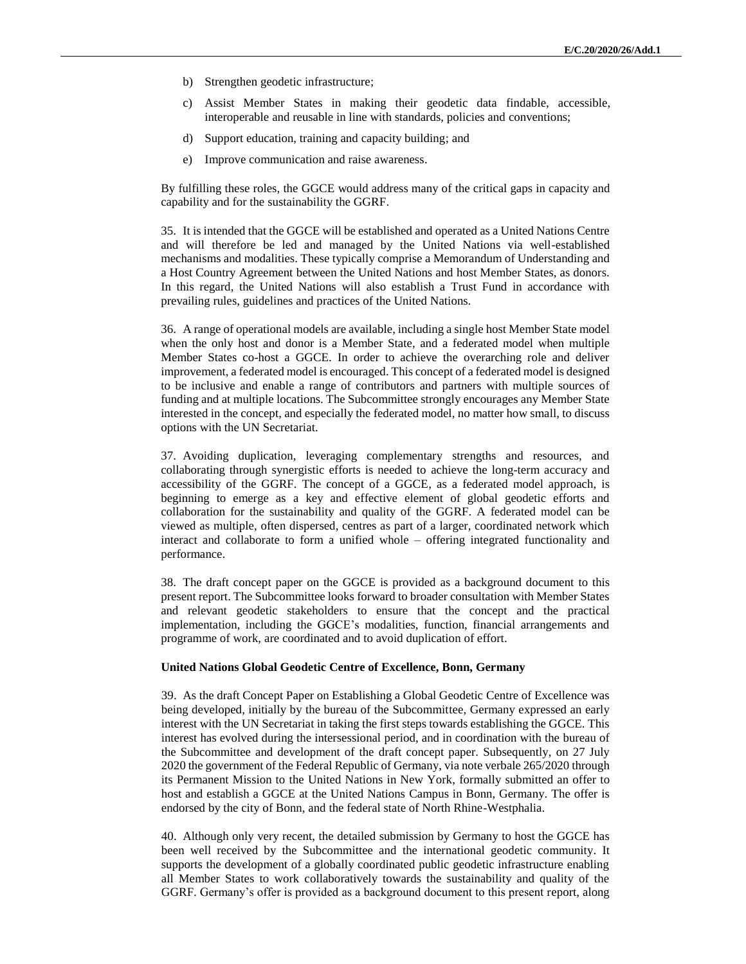- b) Strengthen geodetic infrastructure;
- c) Assist Member States in making their geodetic data findable, accessible, interoperable and reusable in line with standards, policies and conventions;
- d) Support education, training and capacity building; and
- e) Improve communication and raise awareness.

By fulfilling these roles, the GGCE would address many of the critical gaps in capacity and capability and for the sustainability the GGRF.

35. It is intended that the GGCE will be established and operated as a United Nations Centre and will therefore be led and managed by the United Nations via well-established mechanisms and modalities. These typically comprise a Memorandum of Understanding and a Host Country Agreement between the United Nations and host Member States, as donors. In this regard, the United Nations will also establish a Trust Fund in accordance with prevailing rules, guidelines and practices of the United Nations.

36. A range of operational models are available, including a single host Member State model when the only host and donor is a Member State, and a federated model when multiple Member States co-host a GGCE. In order to achieve the overarching role and deliver improvement, a federated model is encouraged. This concept of a federated model is designed to be inclusive and enable a range of contributors and partners with multiple sources of funding and at multiple locations. The Subcommittee strongly encourages any Member State interested in the concept, and especially the federated model, no matter how small, to discuss options with the UN Secretariat.

37. Avoiding duplication, leveraging complementary strengths and resources, and collaborating through synergistic efforts is needed to achieve the long-term accuracy and accessibility of the GGRF. The concept of a GGCE, as a federated model approach, is beginning to emerge as a key and effective element of global geodetic efforts and collaboration for the sustainability and quality of the GGRF. A federated model can be viewed as multiple, often dispersed, centres as part of a larger, coordinated network which interact and collaborate to form a unified whole – offering integrated functionality and performance.

38. The draft concept paper on the GGCE is provided as a background document to this present report. The Subcommittee looks forward to broader consultation with Member States and relevant geodetic stakeholders to ensure that the concept and the practical implementation, including the GGCE's modalities, function, financial arrangements and programme of work, are coordinated and to avoid duplication of effort.

#### **United Nations Global Geodetic Centre of Excellence, Bonn, Germany**

39. As the draft Concept Paper on Establishing a Global Geodetic Centre of Excellence was being developed, initially by the bureau of the Subcommittee, Germany expressed an early interest with the UN Secretariat in taking the first steps towards establishing the GGCE. This interest has evolved during the intersessional period, and in coordination with the bureau of the Subcommittee and development of the draft concept paper. Subsequently, on 27 July 2020 the government of the Federal Republic of Germany, via note verbale 265/2020 through its Permanent Mission to the United Nations in New York, formally submitted an offer to host and establish a GGCE at the United Nations Campus in Bonn, Germany. The offer is endorsed by the city of Bonn, and the federal state of North Rhine-Westphalia.

40. Although only very recent, the detailed submission by Germany to host the GGCE has been well received by the Subcommittee and the international geodetic community. It supports the development of a globally coordinated public geodetic infrastructure enabling all Member States to work collaboratively towards the sustainability and quality of the GGRF. Germany's offer is provided as a background document to this present report, along